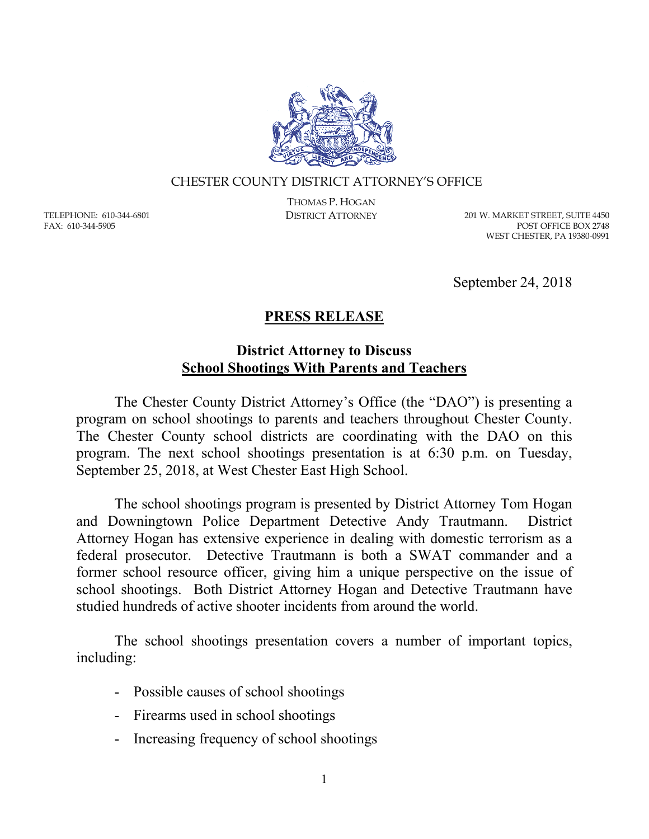

## CHESTER COUNTY DISTRICT ATTORNEY'S OFFICE

TELEPHONE: 610-344-6801 FAX: 610-344-5905

THOMAS P. HOGAN

DISTRICT ATTORNEY 201 W. MARKET STREET, SUITE 4450 POST OFFICE BOX 2748 WEST CHESTER, PA 19380-0991

September 24, 2018

## **PRESS RELEASE**

## **District Attorney to Discuss School Shootings With Parents and Teachers**

The Chester County District Attorney's Office (the "DAO") is presenting a program on school shootings to parents and teachers throughout Chester County. The Chester County school districts are coordinating with the DAO on this program. The next school shootings presentation is at 6:30 p.m. on Tuesday, September 25, 2018, at West Chester East High School.

The school shootings program is presented by District Attorney Tom Hogan and Downingtown Police Department Detective Andy Trautmann. District Attorney Hogan has extensive experience in dealing with domestic terrorism as a federal prosecutor. Detective Trautmann is both a SWAT commander and a former school resource officer, giving him a unique perspective on the issue of school shootings. Both District Attorney Hogan and Detective Trautmann have studied hundreds of active shooter incidents from around the world.

The school shootings presentation covers a number of important topics, including:

- Possible causes of school shootings
- Firearms used in school shootings
- Increasing frequency of school shootings